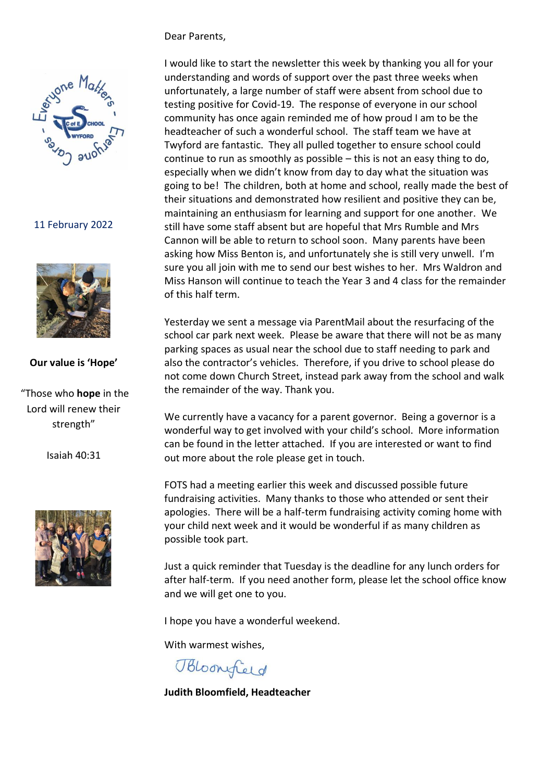## Dear Parents,



## 11 February 2022



## **Our value is 'Hope'**

"Those who **hope** in the Lord will renew their strength"

Isaiah 40:31



I would like to start the newsletter this week by thanking you all for your understanding and words of support over the past three weeks when unfortunately, a large number of staff were absent from school due to testing positive for Covid-19. The response of everyone in our school community has once again reminded me of how proud I am to be the headteacher of such a wonderful school. The staff team we have at Twyford are fantastic. They all pulled together to ensure school could continue to run as smoothly as possible – this is not an easy thing to do, especially when we didn't know from day to day what the situation was going to be! The children, both at home and school, really made the best of their situations and demonstrated how resilient and positive they can be, maintaining an enthusiasm for learning and support for one another. We still have some staff absent but are hopeful that Mrs Rumble and Mrs Cannon will be able to return to school soon. Many parents have been asking how Miss Benton is, and unfortunately she is still very unwell. I'm sure you all join with me to send our best wishes to her. Mrs Waldron and Miss Hanson will continue to teach the Year 3 and 4 class for the remainder of this half term.

Yesterday we sent a message via ParentMail about the resurfacing of the school car park next week. Please be aware that there will not be as many parking spaces as usual near the school due to staff needing to park and also the contractor's vehicles. Therefore, if you drive to school please do not come down Church Street, instead park away from the school and walk the remainder of the way. Thank you.

We currently have a vacancy for a parent governor. Being a governor is a wonderful way to get involved with your child's school. More information can be found in the letter attached. If you are interested or want to find out more about the role please get in touch.

FOTS had a meeting earlier this week and discussed possible future fundraising activities. Many thanks to those who attended or sent their apologies. There will be a half-term fundraising activity coming home with your child next week and it would be wonderful if as many children as possible took part.

Just a quick reminder that Tuesday is the deadline for any lunch orders for after half-term. If you need another form, please let the school office know and we will get one to you.

I hope you have a wonderful weekend.

With warmest wishes,

Bloomfield

**Judith Bloomfield, Headteacher**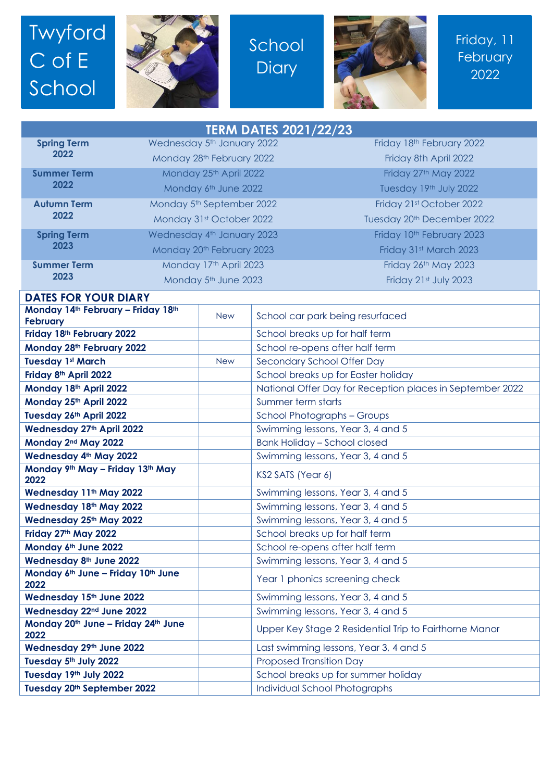## Twyford C of E School



School **Diary** 



Friday, 11 **February** 2022

| <b>TERM DATES 2021/22/23</b>                               |                            |            |                                                           |                                 |  |
|------------------------------------------------------------|----------------------------|------------|-----------------------------------------------------------|---------------------------------|--|
| <b>Spring Term</b>                                         | Wednesday 5th January 2022 |            |                                                           | Friday 18th February 2022       |  |
| 2022                                                       | Monday 28th February 2022  |            |                                                           | Friday 8th April 2022           |  |
| <b>Summer Term</b><br>2022                                 | Monday 25th April 2022     |            |                                                           | Friday 27th May 2022            |  |
|                                                            | Monday 6th June 2022       |            |                                                           | Tuesday 19th July 2022          |  |
| <b>Autumn Term</b><br>2022                                 | Monday 5th September 2022  |            |                                                           | Friday 21st October 2022        |  |
|                                                            | Monday 31st October 2022   |            |                                                           | Tuesday 20th December 2022      |  |
| <b>Spring Term</b>                                         | Wednesday 4th January 2023 |            |                                                           | Friday 10th February 2023       |  |
| 2023                                                       | Monday 20th February 2023  |            |                                                           | Friday 31st March 2023          |  |
| <b>Summer Term</b><br>2023                                 | Monday 17th April 2023     |            |                                                           | Friday 26th May 2023            |  |
|                                                            | Monday 5th June 2023       |            |                                                           | Friday 21st July 2023           |  |
| <b>DATES FOR YOUR DIARY</b>                                |                            |            |                                                           |                                 |  |
| Monday 14th February - Friday 18th                         |                            |            |                                                           |                                 |  |
| <b>February</b>                                            |                            | <b>New</b> | School car park being resurfaced                          |                                 |  |
| Friday 18th February 2022                                  |                            |            | School breaks up for half term                            |                                 |  |
| Monday 28th February 2022                                  |                            |            | School re-opens after half term                           |                                 |  |
| <b>Tuesday 1st March</b>                                   |                            | <b>New</b> | Secondary School Offer Day                                |                                 |  |
| Friday 8th April 2022                                      |                            |            | School breaks up for Easter holiday                       |                                 |  |
| Monday 18th April 2022                                     |                            |            | National Offer Day for Reception places in September 2022 |                                 |  |
| Monday 25th April 2022                                     |                            |            | Summer term starts                                        |                                 |  |
| Tuesday 26th April 2022                                    |                            |            | School Photographs - Groups                               |                                 |  |
| Wednesday 27th April 2022                                  |                            |            | Swimming lessons, Year 3, 4 and 5                         |                                 |  |
| Monday 2nd May 2022                                        |                            |            | <b>Bank Holiday - School closed</b>                       |                                 |  |
| Wednesday 4th May 2022<br>Monday 9th May - Friday 13th May |                            |            | Swimming lessons, Year 3, 4 and 5                         |                                 |  |
| 2022                                                       |                            |            | KS2 SATS (Year 6)                                         |                                 |  |
| Wednesday 11th May 2022                                    |                            |            | Swimming lessons, Year 3, 4 and 5                         |                                 |  |
| Wednesday 18th May 2022                                    |                            |            | Swimming lessons, Year 3, 4 and 5                         |                                 |  |
| Wednesday 25th May 2022                                    |                            |            | Swimming lessons, Year 3, 4 and 5                         |                                 |  |
| Friday 27th May 2022                                       |                            |            | School breaks up for half term                            |                                 |  |
| Monday 6th June 2022                                       |                            |            |                                                           | School re-opens after half term |  |
| Wednesday 8th June 2022                                    |                            |            | Swimming lessons, Year 3, 4 and 5                         |                                 |  |
| Monday 6th June - Friday 10th June<br>2022                 |                            |            | Year 1 phonics screening check                            |                                 |  |
| Wednesday 15th June 2022                                   |                            |            | Swimming lessons, Year 3, 4 and 5                         |                                 |  |
| Wednesday 22nd June 2022                                   |                            |            | Swimming lessons, Year 3, 4 and 5                         |                                 |  |
| Monday 20th June - Friday 24th June<br>2022                |                            |            | Upper Key Stage 2 Residential Trip to Fairthorne Manor    |                                 |  |
| Wednesday 29th June 2022                                   |                            |            | Last swimming lessons, Year 3, 4 and 5                    |                                 |  |
| Tuesday 5th July 2022                                      |                            |            | Proposed Transition Day                                   |                                 |  |
| Tuesday 19th July 2022                                     |                            |            | School breaks up for summer holiday                       |                                 |  |
| Tuesday 20th September 2022                                |                            |            |                                                           | Individual School Photographs   |  |